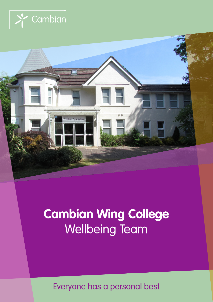



# **Cambian Wing College** Wellbeing Team

Everyone has a personal best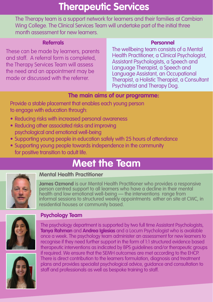# **Therapeutic Services**

The Therapy team is a support network for learners and their families at Cambian Wing College. The Clinical Services Team will undertake part of the initial three month assessment for new learners.

### **Referrals**

These can be made by learners, parents and staff. A referral form is completed, the Therapy Services Team will assess the need and an appointment may be made or discussed with the referrer

#### **Personnel**

The wellbeing team consists of a Mental Health Practitioner, a Clinical Psychologist, Assistant Psychologists, a Speech and Language Therapist, a Speech and Language Assistant, an Occupational Therapist, a Holistic Therapist, a Consultant Psychiatrist and Therapy Dog.

# **The main aims of our programme:**

Provide a stable placement that enables each young person to engage with education through:

- Reducing risks with increased personal awareness
- Reducing other associated risks and improving psychological and emotional well-being
- Supporting young people in education safely with 25 hours of attendance
- Supporting young people towards independence in the community for positive transition to adult life.

# **Meet the Team**



# **Mental Health Practitioner**

**James Ozmond** is our Mental Health Practitioner who provides a responsive person centred support to all learners who have a decline in their mental health and low emotional well-being — the interventions range from informal sessions to structured weekly appointments either on site at CWC, in residential houses or community based.



## **Psychology Team**

The psychology department is supported by two full time Assistant Psychologists, **Tanya Rahman** and **Andrea Iglesias** and a Locum Psychologist who is available once a week. The psychology team administer an assessment for new learners to recognise if they need further support in the form of 1:1 structured evidence based therapeutic interventions as indicated by BPS guidelines and/or therapeutic groups if required. We ensure that the SEMH outcomes are met according to the EHCP. There is direct contribution to the learners formulation, diagnosis and treatment plans and provides specialist psychological advice, guidance and consultation to staff and professionals as well as bespoke training to staff.

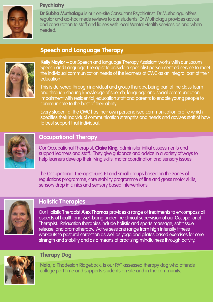

#### **Psychiatry**

**Dr Subha Muthalagu** is our on-site Consultant Psychiatrist. Dr Muthalagu offers regular and ad-hoc meds reviews to our students. Dr Muthalagu provides advice and consultation to staff and liaises with local Mental Health services as and when needed.

# **Speech and Language Therapy**



**Kelly Naylor** – our Speech and language Therapy Assistant works with our Locum Speech and Language Therapist to provide a specialist person centred service to meet the individual communication needs of the learners at CWC as an integral part of their education

This is delivered through individual and group therapy, being part of the class team and through sharing knowledge of speech, language and social communication impairment with residential, education staff and parents to enable young people to communicate to the best of their ability.

Every student at the CWC has their own personalised communication profile which specifies their individual communication strengths and needs and advises staff of how to best support that individual.



## **Occupational Therapy**

Our Occupational Therapist, **Claire King,** administer initial assessments and support learners and staff. They give guidance and advice in a variety of ways to help learners develop their living skills, motor coordination and sensory issues.

The Occupational Therapist runs 1:1 and small groups based on the zones of regulations programme, core stability programme of fine and gross motor skills, sensory drop in clinics and sensory based interventions



## **Holistic Therapies**

Our Holistic Therapist **Alex Thomas** provides a range of treatments to encompass all aspects of health and well-being under the clinical supervision of our Occupational Therapist. Relaxation therapies include holistic and sports massage; soft tissue release; and aromatherapy. Active sessions range from high intensity fitness workouts to postural correction as well as yoga and pilates based exercises for core strength and stability and as a means of practising mindfulness through activity.



#### **Therapy Dog**

**Nala,** a Rhodesian Ridgeback, is our PAT assessed therapy dog who attends college part time and supports students on site and in the community.